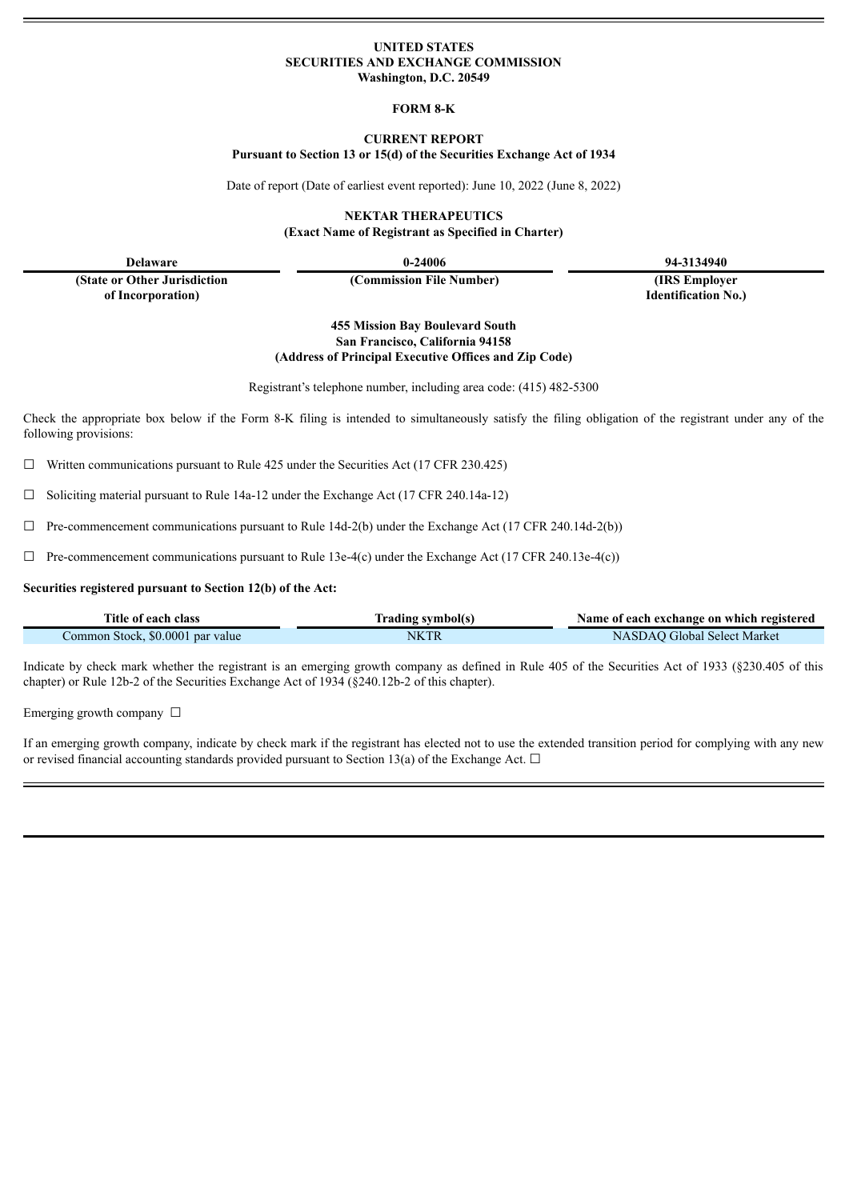### **UNITED STATES SECURITIES AND EXCHANGE COMMISSION Washington, D.C. 20549**

#### **FORM 8-K**

#### **CURRENT REPORT**

**Pursuant to Section 13 or 15(d) of the Securities Exchange Act of 1934**

Date of report (Date of earliest event reported): June 10, 2022 (June 8, 2022)

**NEKTAR THERAPEUTICS (Exact Name of Registrant as Specified in Charter)**

**Delaware 0-24006 94-3134940**

**(State or Other Jurisdiction of Incorporation)**

**(Commission File Number) (IRS Employer**

**Identification No.)**

**455 Mission Bay Boulevard South San Francisco, California 94158 (Address of Principal Executive Offices and Zip Code)**

Registrant's telephone number, including area code: (415) 482-5300

Check the appropriate box below if the Form 8-K filing is intended to simultaneously satisfy the filing obligation of the registrant under any of the following provisions:

 $\Box$  Written communications pursuant to Rule 425 under the Securities Act (17 CFR 230.425)

 $\Box$  Soliciting material pursuant to Rule 14a-12 under the Exchange Act (17 CFR 240.14a-12)

 $\Box$  Pre-commencement communications pursuant to Rule 14d-2(b) under the Exchange Act (17 CFR 240.14d-2(b))

 $\Box$  Pre-commencement communications pursuant to Rule 13e-4(c) under the Exchange Act (17 CFR 240.13e-4(c))

#### **Securities registered pursuant to Section 12(b) of the Act:**

| Title of each class              | Trading symbol(s) | Name of each exchange on which registered |  |
|----------------------------------|-------------------|-------------------------------------------|--|
| Common Stock, \$0.0001 par value | <b>NKTK</b>       | NASDAO Global Select Market               |  |

Indicate by check mark whether the registrant is an emerging growth company as defined in Rule 405 of the Securities Act of 1933 (§230.405 of this chapter) or Rule 12b-2 of the Securities Exchange Act of 1934 (§240.12b-2 of this chapter).

Emerging growth company  $\Box$ 

If an emerging growth company, indicate by check mark if the registrant has elected not to use the extended transition period for complying with any new or revised financial accounting standards provided pursuant to Section 13(a) of the Exchange Act.  $\Box$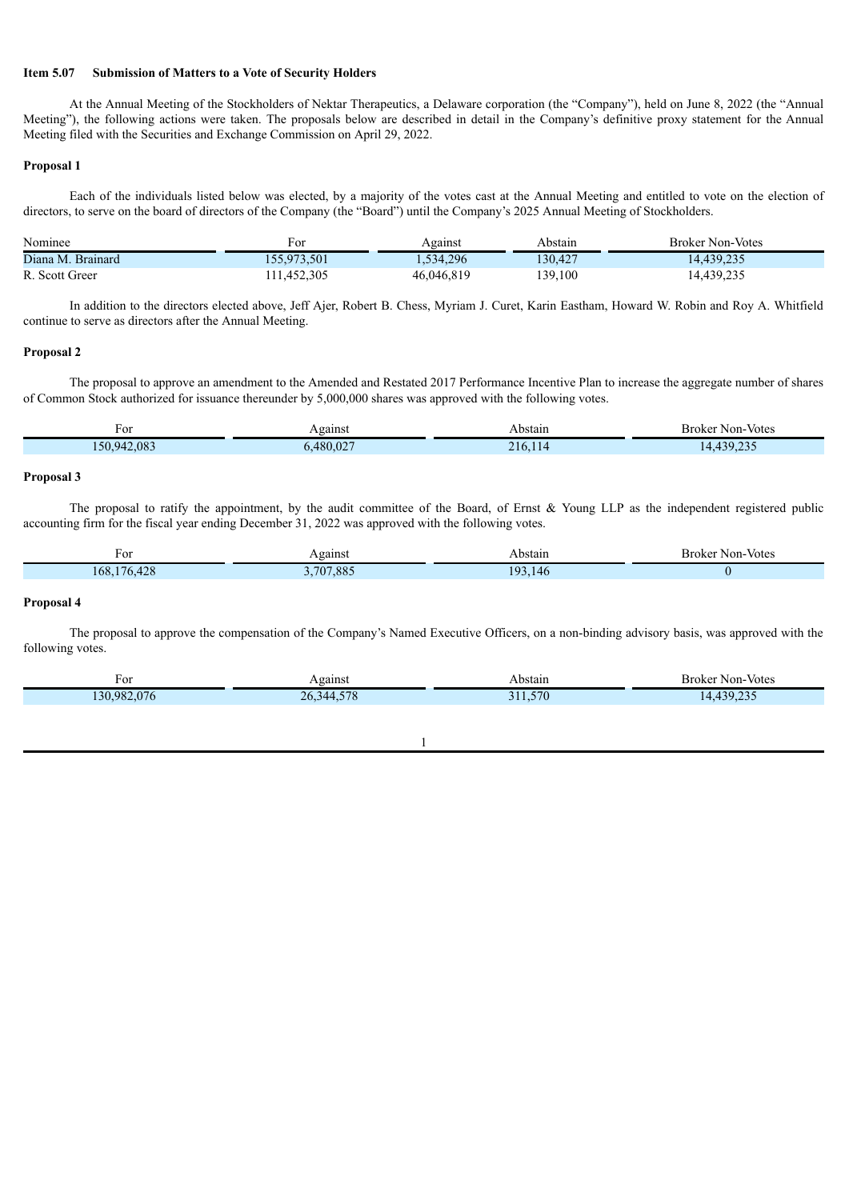## **Item 5.07 Submission of Matters to a Vote of Security Holders**

At the Annual Meeting of the Stockholders of Nektar Therapeutics, a Delaware corporation (the "Company"), held on June 8, 2022 (the "Annual Meeting"), the following actions were taken. The proposals below are described in detail in the Company's definitive proxy statement for the Annual Meeting filed with the Securities and Exchange Commission on April 29, 2022.

#### **Proposal 1**

Each of the individuals listed below was elected, by a majority of the votes cast at the Annual Meeting and entitled to vote on the election of directors, to serve on the board of directors of the Company (the "Board") until the Company's 2025 Annual Meeting of Stockholders.

| Nominee           | F01         | Against    | Abstain | <b>Broker Non-Votes</b> |
|-------------------|-------------|------------|---------|-------------------------|
| Diana M. Brainard | 155,973,501 | 1,534,296  | 130.427 | 1443922                 |
| R. Scott Greer    | 111,452,305 | 46,046,819 | 139,100 | 4,439,235               |

In addition to the directors elected above, Jeff Ajer, Robert B. Chess, Myriam J. Curet, Karin Eastham, Howard W. Robin and Roy A. Whitfield continue to serve as directors after the Annual Meeting.

### **Proposal 2**

The proposal to approve an amendment to the Amended and Restated 2017 Performance Incentive Plan to increase the aggregate number of shares of Common Stock authorized for issuance thereunder by 5,000,000 shares was approved with the following votes.

| †0r         | <b>Against</b><br>$\sim$ | Abstain<br>.   | Non-Votes<br>– Broker |
|-------------|--------------------------|----------------|-----------------------|
| 150,942,083 | .480.027                 | 216<br>$\pm 1$ | 130.235<br>. <u>.</u> |

### **Proposal 3**

The proposal to ratify the appointment, by the audit committee of the Board, of Ernst & Young LLP as the independent registered public accounting firm for the fiscal year ending December 31, 2022 was approved with the following votes.

| v                                      | eains    | Abstain      | Non-Votes<br>Broker |
|----------------------------------------|----------|--------------|---------------------|
| 100<br>$176 +$<br>168.<br>$r \angle C$ | ,707,885 | $Q_3$<br>146 |                     |

#### **Proposal 4**

The proposal to approve the compensation of the Company's Named Executive Officers, on a non-binding advisory basis, was approved with the following votes.

| For                        | Against                 | Abstain     | Broker Non-Votes                       |
|----------------------------|-------------------------|-------------|----------------------------------------|
| $\sim$<br>30.982<br>.v / v | $- - -$<br>26, 344, 578 | 570<br>---- | $\sim$ $\sim$ $\sim$<br>420<br>⊶ ب سکہ |
|                            |                         |             |                                        |

1